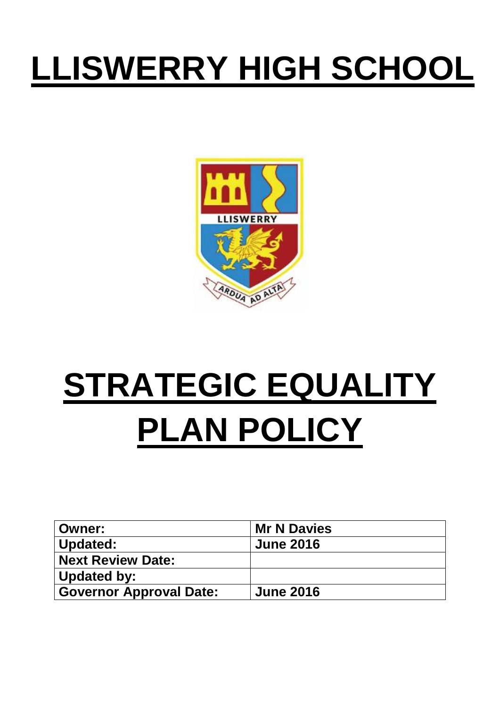## **LLISWERRY HIGH SCHOOL**



# **STRATEGIC EQUALITY PLAN POLICY**

| Owner:                         | <b>Mr N Davies</b> |
|--------------------------------|--------------------|
| Updated:                       | <b>June 2016</b>   |
| <b>Next Review Date:</b>       |                    |
| Updated by:                    |                    |
| <b>Governor Approval Date:</b> | <b>June 2016</b>   |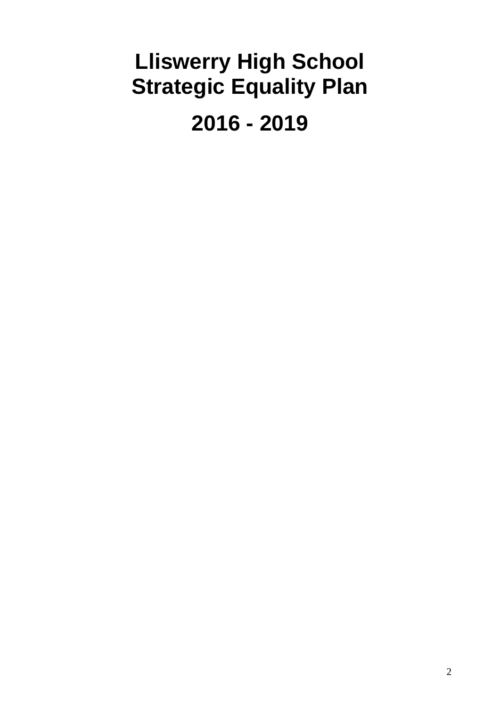### **Lliswerry High School Strategic Equality Plan**

**2016 - 2019**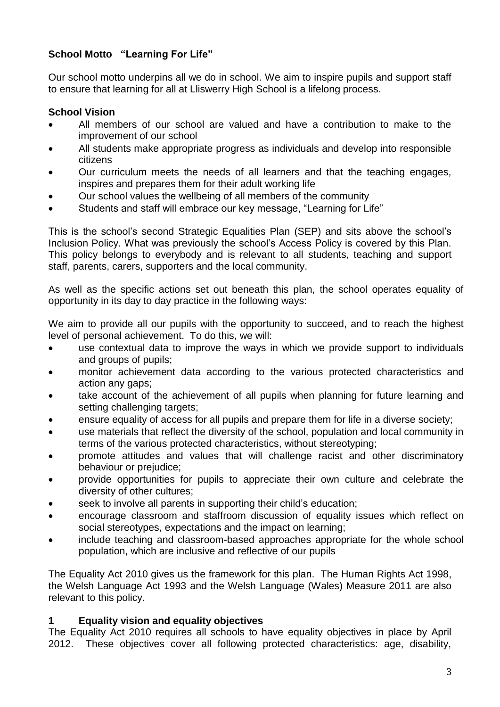#### **School Motto "Learning For Life"**

Our school motto underpins all we do in school. We aim to inspire pupils and support staff to ensure that learning for all at Lliswerry High School is a lifelong process.

#### **School Vision**

- All members of our school are valued and have a contribution to make to the improvement of our school
- All students make appropriate progress as individuals and develop into responsible citizens
- Our curriculum meets the needs of all learners and that the teaching engages, inspires and prepares them for their adult working life
- Our school values the wellbeing of all members of the community
- Students and staff will embrace our key message, "Learning for Life"

This is the school's second Strategic Equalities Plan (SEP) and sits above the school's Inclusion Policy. What was previously the school's Access Policy is covered by this Plan. This policy belongs to everybody and is relevant to all students, teaching and support staff, parents, carers, supporters and the local community.

As well as the specific actions set out beneath this plan, the school operates equality of opportunity in its day to day practice in the following ways:

We aim to provide all our pupils with the opportunity to succeed, and to reach the highest level of personal achievement. To do this, we will:

- use contextual data to improve the ways in which we provide support to individuals and groups of pupils;
- monitor achievement data according to the various protected characteristics and action any gaps;
- take account of the achievement of all pupils when planning for future learning and setting challenging targets;
- ensure equality of access for all pupils and prepare them for life in a diverse society;
- use materials that reflect the diversity of the school, population and local community in terms of the various protected characteristics, without stereotyping;
- promote attitudes and values that will challenge racist and other discriminatory behaviour or prejudice;
- provide opportunities for pupils to appreciate their own culture and celebrate the diversity of other cultures;
- seek to involve all parents in supporting their child's education;
- encourage classroom and staffroom discussion of equality issues which reflect on social stereotypes, expectations and the impact on learning;
- include teaching and classroom-based approaches appropriate for the whole school population, which are inclusive and reflective of our pupils

The Equality Act 2010 gives us the framework for this plan. The Human Rights Act 1998, the Welsh Language Act 1993 and the Welsh Language (Wales) Measure 2011 are also relevant to this policy.

#### **1 Equality vision and equality objectives**

The Equality Act 2010 requires all schools to have equality objectives in place by April 2012. These objectives cover all following protected characteristics: age, disability,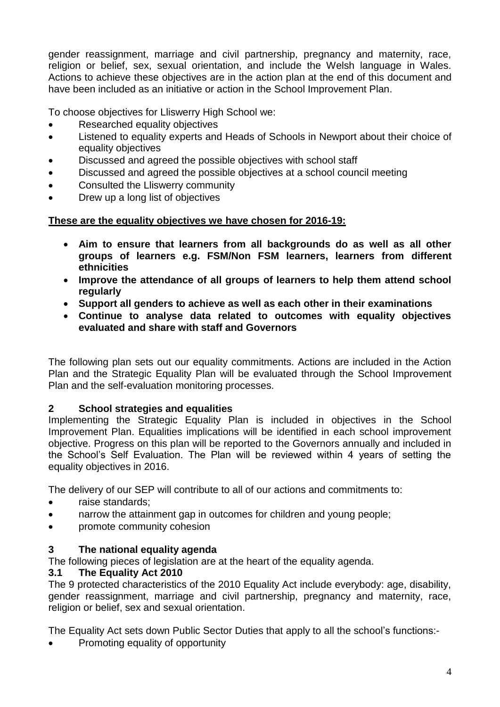gender reassignment, marriage and civil partnership, pregnancy and maternity, race, religion or belief, sex, sexual orientation, and include the Welsh language in Wales. Actions to achieve these objectives are in the action plan at the end of this document and have been included as an initiative or action in the School Improvement Plan.

To choose objectives for Lliswerry High School we:

- Researched equality objectives
- Listened to equality experts and Heads of Schools in Newport about their choice of equality objectives
- Discussed and agreed the possible objectives with school staff
- Discussed and agreed the possible objectives at a school council meeting
- Consulted the Lliswerry community
- Drew up a long list of objectives

#### **These are the equality objectives we have chosen for 2016-19:**

- **Aim to ensure that learners from all backgrounds do as well as all other groups of learners e.g. FSM/Non FSM learners, learners from different ethnicities**
- **Improve the attendance of all groups of learners to help them attend school regularly**
- **Support all genders to achieve as well as each other in their examinations**
- **Continue to analyse data related to outcomes with equality objectives evaluated and share with staff and Governors**

The following plan sets out our equality commitments. Actions are included in the Action Plan and the Strategic Equality Plan will be evaluated through the School Improvement Plan and the self-evaluation monitoring processes.

#### **2 School strategies and equalities**

Implementing the Strategic Equality Plan is included in objectives in the School Improvement Plan. Equalities implications will be identified in each school improvement objective. Progress on this plan will be reported to the Governors annually and included in the School's Self Evaluation. The Plan will be reviewed within 4 years of setting the equality objectives in 2016.

The delivery of our SEP will contribute to all of our actions and commitments to:

- raise standards;
- narrow the attainment gap in outcomes for children and young people;
- promote community cohesion

#### **3 The national equality agenda**

The following pieces of legislation are at the heart of the equality agenda.

#### **3.1 The Equality Act 2010**

The 9 protected characteristics of the 2010 Equality Act include everybody: age, disability, gender reassignment, marriage and civil partnership, pregnancy and maternity, race, religion or belief, sex and sexual orientation.

The Equality Act sets down Public Sector Duties that apply to all the school's functions:-

Promoting equality of opportunity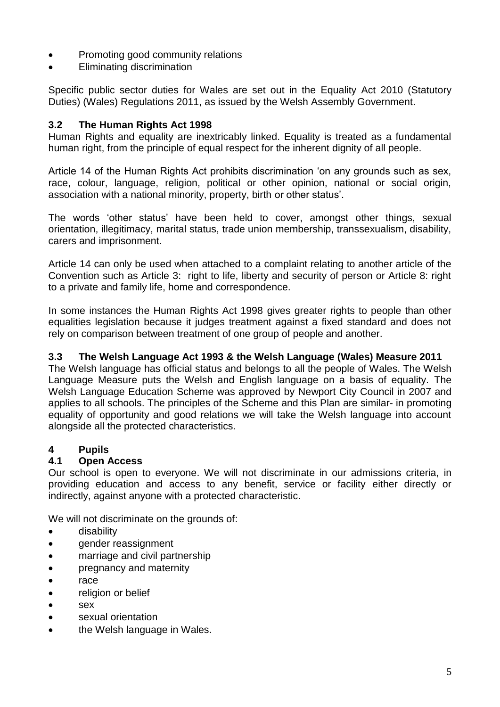- Promoting good community relations
- Eliminating discrimination

Specific public sector duties for Wales are set out in the Equality Act 2010 (Statutory Duties) (Wales) Regulations 2011, as issued by the Welsh Assembly Government.

#### **3.2 The Human Rights Act 1998**

Human Rights and equality are inextricably linked. Equality is treated as a fundamental human right, from the principle of equal respect for the inherent dignity of all people.

Article 14 of the Human Rights Act prohibits discrimination 'on any grounds such as sex, race, colour, language, religion, political or other opinion, national or social origin, association with a national minority, property, birth or other status'.

The words 'other status' have been held to cover, amongst other things, sexual orientation, illegitimacy, marital status, trade union membership, transsexualism, disability, carers and imprisonment.

Article 14 can only be used when attached to a complaint relating to another article of the Convention such as Article 3: right to life, liberty and security of person or Article 8: right to a private and family life, home and correspondence.

In some instances the Human Rights Act 1998 gives greater rights to people than other equalities legislation because it judges treatment against a fixed standard and does not rely on comparison between treatment of one group of people and another.

#### **3.3 The Welsh Language Act 1993 & the Welsh Language (Wales) Measure 2011**

The Welsh language has official status and belongs to all the people of Wales. The Welsh Language Measure puts the Welsh and English language on a basis of equality. The Welsh Language Education Scheme was approved by Newport City Council in 2007 and applies to all schools. The principles of the Scheme and this Plan are similar- in promoting equality of opportunity and good relations we will take the Welsh language into account alongside all the protected characteristics.

#### **4 Pupils**

#### **4.1 Open Access**

Our school is open to everyone. We will not discriminate in our admissions criteria, in providing education and access to any benefit, service or facility either directly or indirectly, against anyone with a protected characteristic.

We will not discriminate on the grounds of:

- **•** disability
- gender reassignment
- marriage and civil partnership
- pregnancy and maternity
- race
- religion or belief
- sex
- sexual orientation
- the Welsh language in Wales.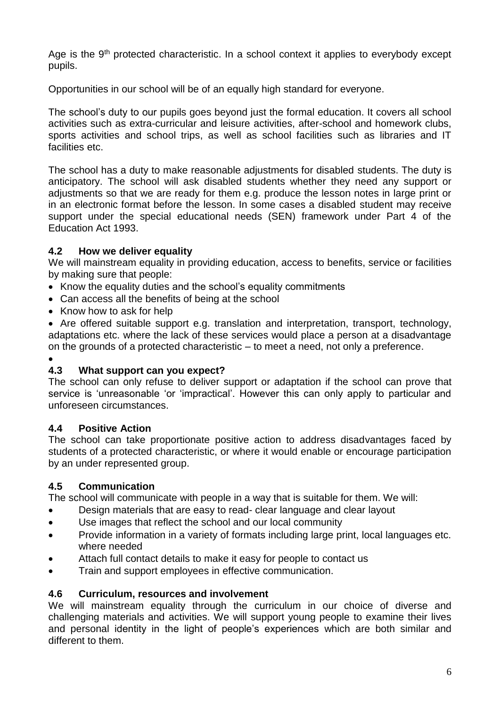Age is the  $9<sup>th</sup>$  protected characteristic. In a school context it applies to everybody except pupils.

Opportunities in our school will be of an equally high standard for everyone.

The school's duty to our pupils goes beyond just the formal education. It covers all school activities such as extra-curricular and leisure activities, after-school and homework clubs, sports activities and school trips, as well as school facilities such as libraries and IT facilities etc.

The school has a duty to make reasonable adjustments for disabled students. The duty is anticipatory. The school will ask disabled students whether they need any support or adjustments so that we are ready for them e.g. produce the lesson notes in large print or in an electronic format before the lesson. In some cases a disabled student may receive support under the special educational needs (SEN) framework under Part 4 of the Education Act 1993.

#### **4.2 How we deliver equality**

We will mainstream equality in providing education, access to benefits, service or facilities by making sure that people:

- Know the equality duties and the school's equality commitments
- Can access all the benefits of being at the school
- Know how to ask for help

 Are offered suitable support e.g. translation and interpretation, transport, technology, adaptations etc. where the lack of these services would place a person at a disadvantage on the grounds of a protected characteristic – to meet a need, not only a preference.

 $\bullet$ 

#### **4.3 What support can you expect?**

The school can only refuse to deliver support or adaptation if the school can prove that service is 'unreasonable 'or 'impractical'. However this can only apply to particular and unforeseen circumstances.

#### **4.4 Positive Action**

The school can take proportionate positive action to address disadvantages faced by students of a protected characteristic, or where it would enable or encourage participation by an under represented group.

#### **4.5 Communication**

The school will communicate with people in a way that is suitable for them. We will:

- Design materials that are easy to read- clear language and clear layout
- Use images that reflect the school and our local community
- Provide information in a variety of formats including large print, local languages etc. where needed
- Attach full contact details to make it easy for people to contact us
- **•** Train and support employees in effective communication.

#### **4.6 Curriculum, resources and involvement**

We will mainstream equality through the curriculum in our choice of diverse and challenging materials and activities. We will support young people to examine their lives and personal identity in the light of people's experiences which are both similar and different to them.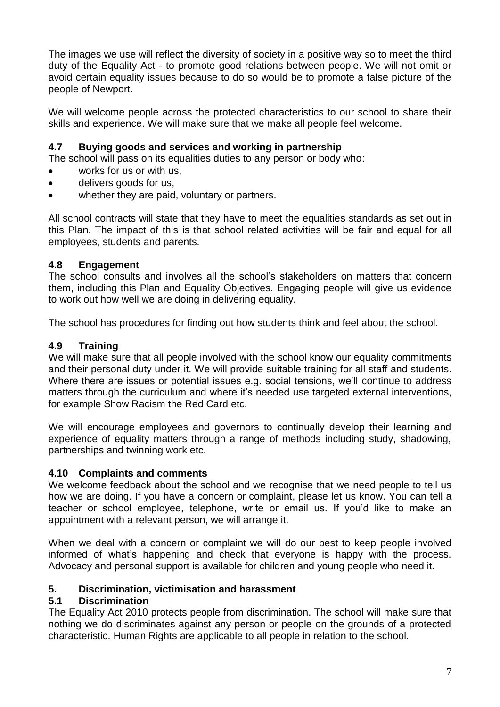The images we use will reflect the diversity of society in a positive way so to meet the third duty of the Equality Act - to promote good relations between people. We will not omit or avoid certain equality issues because to do so would be to promote a false picture of the people of Newport.

We will welcome people across the protected characteristics to our school to share their skills and experience. We will make sure that we make all people feel welcome.

#### **4.7 Buying goods and services and working in partnership**

The school will pass on its equalities duties to any person or body who:

- works for us or with us,
- delivers goods for us,
- whether they are paid, voluntary or partners.

All school contracts will state that they have to meet the equalities standards as set out in this Plan. The impact of this is that school related activities will be fair and equal for all employees, students and parents.

#### **4.8 Engagement**

The school consults and involves all the school's stakeholders on matters that concern them, including this Plan and Equality Objectives. Engaging people will give us evidence to work out how well we are doing in delivering equality.

The school has procedures for finding out how students think and feel about the school.

#### **4.9 Training**

We will make sure that all people involved with the school know our equality commitments and their personal duty under it. We will provide suitable training for all staff and students. Where there are issues or potential issues e.g. social tensions, we'll continue to address matters through the curriculum and where it's needed use targeted external interventions, for example Show Racism the Red Card etc.

We will encourage employees and governors to continually develop their learning and experience of equality matters through a range of methods including study, shadowing, partnerships and twinning work etc.

#### **4.10 Complaints and comments**

We welcome feedback about the school and we recognise that we need people to tell us how we are doing. If you have a concern or complaint, please let us know. You can tell a teacher or school employee, telephone, write or email us. If you'd like to make an appointment with a relevant person, we will arrange it.

When we deal with a concern or complaint we will do our best to keep people involved informed of what's happening and check that everyone is happy with the process. Advocacy and personal support is available for children and young people who need it.

#### **5. Discrimination, victimisation and harassment**

#### **5.1 Discrimination**

The Equality Act 2010 protects people from discrimination. The school will make sure that nothing we do discriminates against any person or people on the grounds of a protected characteristic. Human Rights are applicable to all people in relation to the school.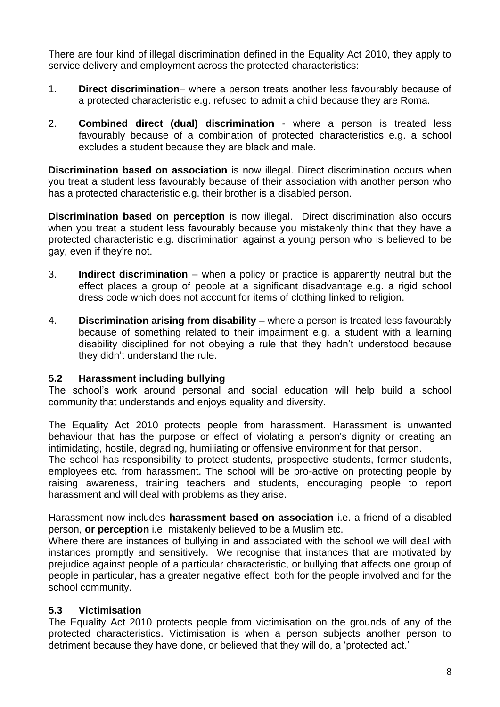There are four kind of illegal discrimination defined in the Equality Act 2010, they apply to service delivery and employment across the protected characteristics:

- 1. **Direct discrimination** where a person treats another less favourably because of a protected characteristic e.g. refused to admit a child because they are Roma.
- 2. **Combined direct (dual) discrimination** where a person is treated less favourably because of a combination of protected characteristics e.g. a school excludes a student because they are black and male.

**Discrimination based on association** is now illegal. Direct discrimination occurs when you treat a student less favourably because of their association with another person who has a protected characteristic e.g. their brother is a disabled person.

**Discrimination based on perception** is now illegal. Direct discrimination also occurs when you treat a student less favourably because you mistakenly think that they have a protected characteristic e.g. discrimination against a young person who is believed to be gay, even if they're not.

- 3. **Indirect discrimination** when a policy or practice is apparently neutral but the effect places a group of people at a significant disadvantage e.g. a rigid school dress code which does not account for items of clothing linked to religion.
- 4. **Discrimination arising from disability –** where a person is treated less favourably because of something related to their impairment e.g. a student with a learning disability disciplined for not obeying a rule that they hadn't understood because they didn't understand the rule.

#### **5.2 Harassment including bullying**

The school's work around personal and social education will help build a school community that understands and enjoys equality and diversity.

The Equality Act 2010 protects people from harassment. Harassment is unwanted behaviour that has the purpose or effect of violating a person's dignity or creating an intimidating, hostile, degrading, humiliating or offensive environment for that person.

The school has responsibility to protect students, prospective students, former students, employees etc. from harassment. The school will be pro-active on protecting people by raising awareness, training teachers and students, encouraging people to report harassment and will deal with problems as they arise.

Harassment now includes **harassment based on association** i.e. a friend of a disabled person, **or perception** i.e. mistakenly believed to be a Muslim etc.

Where there are instances of bullying in and associated with the school we will deal with instances promptly and sensitively. We recognise that instances that are motivated by prejudice against people of a particular characteristic, or bullying that affects one group of people in particular, has a greater negative effect, both for the people involved and for the school community.

#### **5.3 Victimisation**

The Equality Act 2010 protects people from victimisation on the grounds of any of the protected characteristics. Victimisation is when a person subjects another person to detriment because they have done, or believed that they will do, a 'protected act.'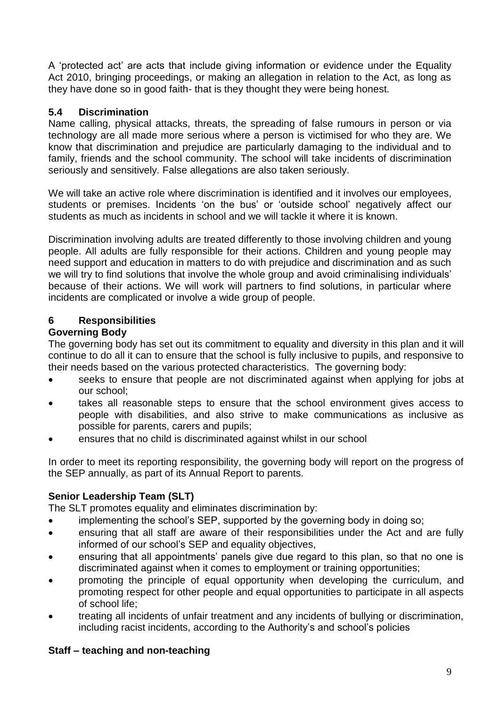A 'protected act' are acts that include giving information or evidence under the Equality Act 2010, bringing proceedings, or making an allegation in relation to the Act, as long as they have done so in good faith- that is they thought they were being honest.

#### **5.4 Discrimination**

Name calling, physical attacks, threats, the spreading of false rumours in person or via technology are all made more serious where a person is victimised for who they are. We know that discrimination and prejudice are particularly damaging to the individual and to family, friends and the school community. The school will take incidents of discrimination seriously and sensitively. False allegations are also taken seriously.

We will take an active role where discrimination is identified and it involves our employees, students or premises. Incidents 'on the bus' or 'outside school' negatively affect our students as much as incidents in school and we will tackle it where it is known.

Discrimination involving adults are treated differently to those involving children and young people. All adults are fully responsible for their actions. Children and young people may need support and education in matters to do with prejudice and discrimination and as such we will try to find solutions that involve the whole group and avoid criminalising individuals' because of their actions. We will work will partners to find solutions, in particular where incidents are complicated or involve a wide group of people.

#### **6 Responsibilities**

#### **Governing Body**

The governing body has set out its commitment to equality and diversity in this plan and it will continue to do all it can to ensure that the school is fully inclusive to pupils, and responsive to their needs based on the various protected characteristics. The governing body:

- seeks to ensure that people are not discriminated against when applying for jobs at our school;
- takes all reasonable steps to ensure that the school environment gives access to people with disabilities, and also strive to make communications as inclusive as possible for parents, carers and pupils;
- ensures that no child is discriminated against whilst in our school

In order to meet its reporting responsibility, the governing body will report on the progress of the SEP annually, as part of its Annual Report to parents.

#### **Senior Leadership Team (SLT)**

The SLT promotes equality and eliminates discrimination by:

- implementing the school's SEP, supported by the governing body in doing so;
- ensuring that all staff are aware of their responsibilities under the Act and are fully informed of our school's SEP and equality objectives,
- ensuring that all appointments' panels give due regard to this plan, so that no one is discriminated against when it comes to employment or training opportunities;
- promoting the principle of equal opportunity when developing the curriculum, and promoting respect for other people and equal opportunities to participate in all aspects of school life;
- treating all incidents of unfair treatment and any incidents of bullying or discrimination, including racist incidents, according to the Authority's and school's policies

#### **Staff – teaching and non-teaching**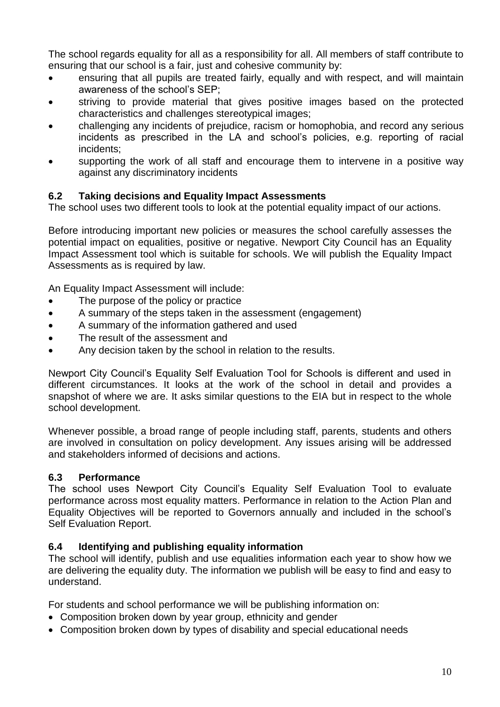The school regards equality for all as a responsibility for all. All members of staff contribute to ensuring that our school is a fair, just and cohesive community by:

- ensuring that all pupils are treated fairly, equally and with respect, and will maintain awareness of the school's SEP;
- striving to provide material that gives positive images based on the protected characteristics and challenges stereotypical images;
- challenging any incidents of prejudice, racism or homophobia, and record any serious incidents as prescribed in the LA and school's policies, e.g. reporting of racial incidents;
- supporting the work of all staff and encourage them to intervene in a positive way against any discriminatory incidents

#### **6.2 Taking decisions and Equality Impact Assessments**

The school uses two different tools to look at the potential equality impact of our actions.

Before introducing important new policies or measures the school carefully assesses the potential impact on equalities, positive or negative. Newport City Council has an Equality Impact Assessment tool which is suitable for schools. We will publish the Equality Impact Assessments as is required by law.

An Equality Impact Assessment will include:

- The purpose of the policy or practice
- A summary of the steps taken in the assessment (engagement)
- A summary of the information gathered and used
- The result of the assessment and
- Any decision taken by the school in relation to the results.

Newport City Council's Equality Self Evaluation Tool for Schools is different and used in different circumstances. It looks at the work of the school in detail and provides a snapshot of where we are. It asks similar questions to the EIA but in respect to the whole school development.

Whenever possible, a broad range of people including staff, parents, students and others are involved in consultation on policy development. Any issues arising will be addressed and stakeholders informed of decisions and actions.

#### **6.3 Performance**

The school uses Newport City Council's Equality Self Evaluation Tool to evaluate performance across most equality matters. Performance in relation to the Action Plan and Equality Objectives will be reported to Governors annually and included in the school's Self Evaluation Report.

#### **6.4 Identifying and publishing equality information**

The school will identify, publish and use equalities information each year to show how we are delivering the equality duty. The information we publish will be easy to find and easy to understand.

For students and school performance we will be publishing information on:

- Composition broken down by year group, ethnicity and gender
- Composition broken down by types of disability and special educational needs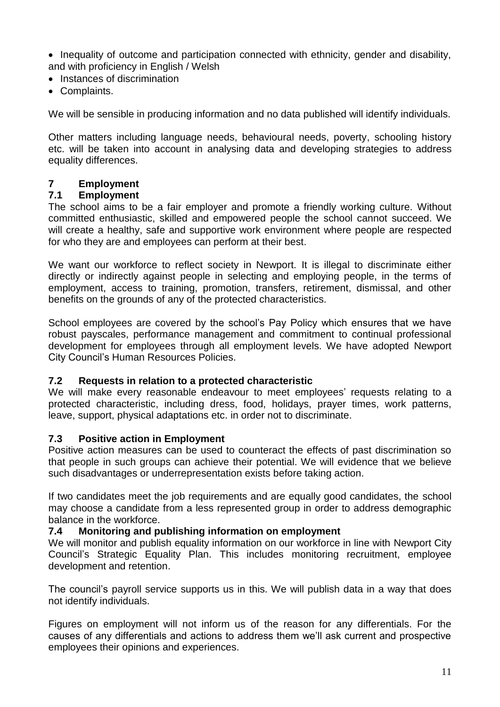• Inequality of outcome and participation connected with ethnicity, gender and disability, and with proficiency in English / Welsh

- Instances of discrimination
- Complaints.

We will be sensible in producing information and no data published will identify individuals.

Other matters including language needs, behavioural needs, poverty, schooling history etc. will be taken into account in analysing data and developing strategies to address equality differences.

#### **7 Employment**

#### **7.1 Employment**

The school aims to be a fair employer and promote a friendly working culture. Without committed enthusiastic, skilled and empowered people the school cannot succeed. We will create a healthy, safe and supportive work environment where people are respected for who they are and employees can perform at their best.

We want our workforce to reflect society in Newport. It is illegal to discriminate either directly or indirectly against people in selecting and employing people, in the terms of employment, access to training, promotion, transfers, retirement, dismissal, and other benefits on the grounds of any of the protected characteristics.

School employees are covered by the school's Pay Policy which ensures that we have robust payscales, performance management and commitment to continual professional development for employees through all employment levels. We have adopted Newport City Council's Human Resources Policies.

#### **7.2 Requests in relation to a protected characteristic**

We will make every reasonable endeavour to meet employees' requests relating to a protected characteristic, including dress, food, holidays, prayer times, work patterns, leave, support, physical adaptations etc. in order not to discriminate.

#### **7.3 Positive action in Employment**

Positive action measures can be used to counteract the effects of past discrimination so that people in such groups can achieve their potential. We will evidence that we believe such disadvantages or underrepresentation exists before taking action.

If two candidates meet the job requirements and are equally good candidates, the school may choose a candidate from a less represented group in order to address demographic balance in the workforce.

#### **7.4 Monitoring and publishing information on employment**

We will monitor and publish equality information on our workforce in line with Newport City Council's Strategic Equality Plan. This includes monitoring recruitment, employee development and retention.

The council's payroll service supports us in this. We will publish data in a way that does not identify individuals.

Figures on employment will not inform us of the reason for any differentials. For the causes of any differentials and actions to address them we'll ask current and prospective employees their opinions and experiences.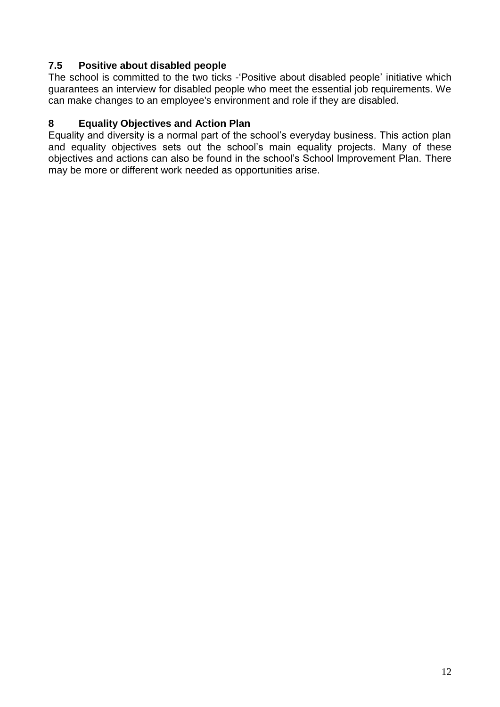#### **7.5 Positive about disabled people**

The school is committed to the two ticks -'Positive about disabled people' initiative which guarantees an interview for disabled people who meet the essential job requirements. We can make changes to an employee's environment and role if they are disabled.

#### **8 Equality Objectives and Action Plan**

Equality and diversity is a normal part of the school's everyday business. This action plan and equality objectives sets out the school's main equality projects. Many of these objectives and actions can also be found in the school's School Improvement Plan. There may be more or different work needed as opportunities arise.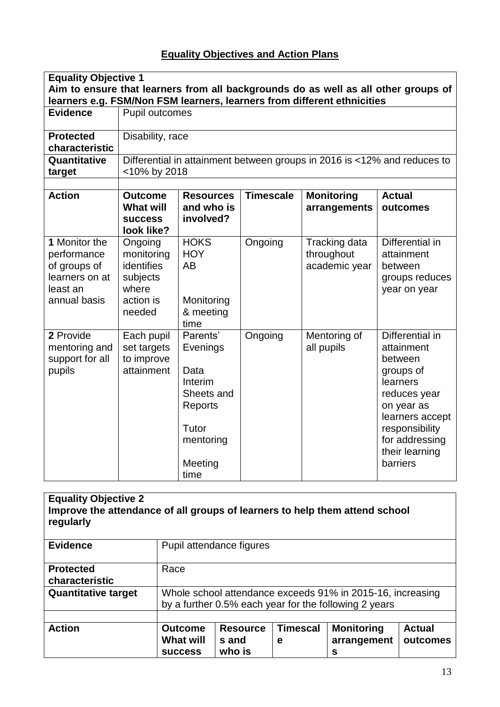#### **Equality Objectives and Action Plans**

| <b>Equality Objective 1</b>                                                                |                                                                                 |                                                                                                           |                  |                                                                          |                                                                                                                                                                                      |  |
|--------------------------------------------------------------------------------------------|---------------------------------------------------------------------------------|-----------------------------------------------------------------------------------------------------------|------------------|--------------------------------------------------------------------------|--------------------------------------------------------------------------------------------------------------------------------------------------------------------------------------|--|
| Aim to ensure that learners from all backgrounds do as well as all other groups of         |                                                                                 |                                                                                                           |                  |                                                                          |                                                                                                                                                                                      |  |
|                                                                                            | learners e.g. FSM/Non FSM learners, learners from different ethnicities         |                                                                                                           |                  |                                                                          |                                                                                                                                                                                      |  |
| <b>Evidence</b>                                                                            | Pupil outcomes                                                                  |                                                                                                           |                  |                                                                          |                                                                                                                                                                                      |  |
| <b>Protected</b>                                                                           | Disability, race                                                                |                                                                                                           |                  |                                                                          |                                                                                                                                                                                      |  |
| characteristic                                                                             |                                                                                 |                                                                                                           |                  |                                                                          |                                                                                                                                                                                      |  |
| Quantitative                                                                               |                                                                                 |                                                                                                           |                  | Differential in attainment between groups in 2016 is <12% and reduces to |                                                                                                                                                                                      |  |
| target                                                                                     | <10% by 2018                                                                    |                                                                                                           |                  |                                                                          |                                                                                                                                                                                      |  |
|                                                                                            |                                                                                 |                                                                                                           |                  |                                                                          |                                                                                                                                                                                      |  |
| <b>Action</b>                                                                              | <b>Outcome</b><br><b>What will</b><br><b>SUCCESS</b><br>look like?              | <b>Resources</b><br>and who is<br>involved?                                                               | <b>Timescale</b> | <b>Monitoring</b><br>arrangements                                        | <b>Actual</b><br>outcomes                                                                                                                                                            |  |
| 1 Monitor the<br>performance<br>of groups of<br>learners on at<br>least an<br>annual basis | Ongoing<br>monitoring<br>identifies<br>subjects<br>where<br>action is<br>needed | <b>HOKS</b><br><b>HOY</b><br><b>AB</b><br>Monitoring<br>& meeting<br>time                                 | Ongoing          | Tracking data<br>throughout<br>academic year                             | Differential in<br>attainment<br>between<br>groups reduces<br>year on year                                                                                                           |  |
| 2 Provide<br>mentoring and<br>support for all<br>pupils                                    | Each pupil<br>set targets<br>to improve<br>attainment                           | Parents'<br>Evenings<br>Data<br>Interim<br>Sheets and<br>Reports<br>Tutor<br>mentoring<br>Meeting<br>time | Ongoing          | Mentoring of<br>all pupils                                               | Differential in<br>attainment<br>between<br>groups of<br>learners<br>reduces year<br>on year as<br>learners accept<br>responsibility<br>for addressing<br>their learning<br>barriers |  |

| <b>Equality Objective 2</b><br>Improve the attendance of all groups of learners to help them attend school<br>regularly |                                                                                                                                                                                          |                          |  |  |  |  |  |
|-------------------------------------------------------------------------------------------------------------------------|------------------------------------------------------------------------------------------------------------------------------------------------------------------------------------------|--------------------------|--|--|--|--|--|
| <b>Evidence</b>                                                                                                         |                                                                                                                                                                                          | Pupil attendance figures |  |  |  |  |  |
| <b>Protected</b><br>characteristic                                                                                      | Race                                                                                                                                                                                     |                          |  |  |  |  |  |
| <b>Quantitative target</b>                                                                                              | Whole school attendance exceeds 91% in 2015-16, increasing<br>by a further 0.5% each year for the following 2 years                                                                      |                          |  |  |  |  |  |
| <b>Action</b>                                                                                                           | <b>Monitoring</b><br><b>Timescal</b><br><b>Outcome</b><br><b>Resource</b><br><b>Actual</b><br><b>What will</b><br>arrangement<br>outcomes<br>s and<br>е<br>who is<br><b>SUCCESS</b><br>s |                          |  |  |  |  |  |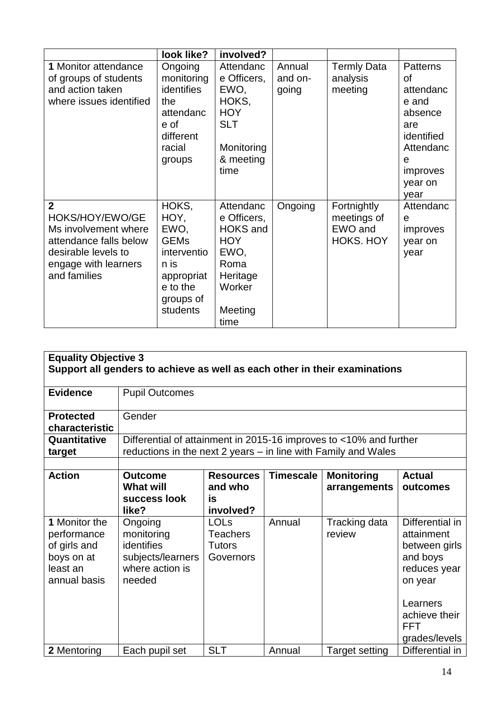|                         | look like?  | involved?       |         |                    |                 |
|-------------------------|-------------|-----------------|---------|--------------------|-----------------|
| 1 Monitor attendance    | Ongoing     | Attendanc       | Annual  | <b>Termly Data</b> | <b>Patterns</b> |
| of groups of students   | monitoring  | e Officers,     | and on- | analysis           | οf              |
| and action taken        | identifies  | EWO,            | going   | meeting            | attendanc       |
| where issues identified | the         | HOKS,           |         |                    | e and           |
|                         | attendanc   | <b>HOY</b>      |         |                    | absence         |
|                         | e of        | <b>SLT</b>      |         |                    | are             |
|                         | different   |                 |         |                    | identified      |
|                         | racial      | Monitoring      |         |                    | Attendanc       |
|                         | groups      | & meeting       |         |                    | e               |
|                         |             | time            |         |                    | improves        |
|                         |             |                 |         |                    | year on         |
|                         |             |                 |         |                    | year            |
| $\mathbf{2}$            | HOKS,       | Attendanc       | Ongoing | Fortnightly        | Attendanc       |
| HOKS/HOY/EWO/GE         | HOY,        | e Officers,     |         | meetings of        | e               |
| Ms involvement where    | EWO,        | <b>HOKS</b> and |         | EWO and            | improves        |
| attendance falls below  | <b>GEMs</b> | <b>HOY</b>      |         | <b>HOKS. HOY</b>   | year on         |
| desirable levels to     | interventio | EWO,            |         |                    | year            |
| engage with learners    | n is        | Roma            |         |                    |                 |
| and families            | appropriat  | Heritage        |         |                    |                 |
|                         | e to the    | Worker          |         |                    |                 |
|                         | groups of   |                 |         |                    |                 |
|                         | students    | Meeting         |         |                    |                 |
|                         |             | time            |         |                    |                 |

| <b>Equality Objective 3</b><br>Support all genders to achieve as well as each other in their examinations |                                                                                                                                      |                                                              |                  |                                   |                                                                                                                                                   |  |
|-----------------------------------------------------------------------------------------------------------|--------------------------------------------------------------------------------------------------------------------------------------|--------------------------------------------------------------|------------------|-----------------------------------|---------------------------------------------------------------------------------------------------------------------------------------------------|--|
| <b>Evidence</b>                                                                                           | <b>Pupil Outcomes</b>                                                                                                                |                                                              |                  |                                   |                                                                                                                                                   |  |
| <b>Protected</b><br>characteristic                                                                        | Gender                                                                                                                               |                                                              |                  |                                   |                                                                                                                                                   |  |
| Quantitative<br>target                                                                                    | Differential of attainment in 2015-16 improves to <10% and further<br>reductions in the next 2 years – in line with Family and Wales |                                                              |                  |                                   |                                                                                                                                                   |  |
| <b>Action</b>                                                                                             | <b>Outcome</b><br><b>What will</b><br>success look<br>like?                                                                          | <b>Resources</b><br>and who<br>is<br>involved?               | <b>Timescale</b> | <b>Monitoring</b><br>arrangements | <b>Actual</b><br>outcomes                                                                                                                         |  |
| 1 Monitor the<br>performance<br>of girls and<br>boys on at<br>least an<br>annual basis                    | Ongoing<br>monitoring<br><b>identifies</b><br>subjects/learners<br>where action is<br>needed                                         | <b>LOLs</b><br><b>Teachers</b><br><b>Tutors</b><br>Governors | Annual           | Tracking data<br>review           | Differential in<br>attainment<br>between girls<br>and boys<br>reduces year<br>on year<br>Learners<br>achieve their<br><b>FFT</b><br>grades/levels |  |
| 2 Mentoring                                                                                               | Each pupil set                                                                                                                       | <b>SLT</b>                                                   | Annual           | <b>Target setting</b>             | Differential in                                                                                                                                   |  |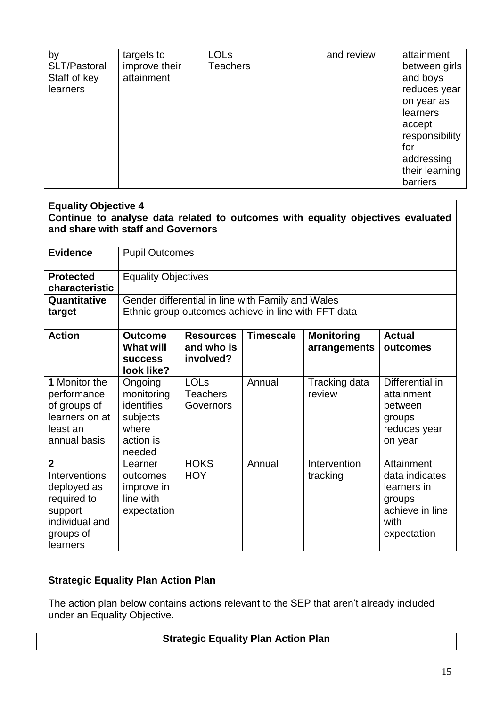| by<br>SLT/Pastoral<br>Staff of key<br>learners | targets to<br>improve their<br>attainment | <b>LOLs</b><br><b>Teachers</b> | and review | attainment<br>between girls<br>and boys<br>reduces year<br>on year as<br>learners<br>accept<br>responsibility<br>for<br>addressing |
|------------------------------------------------|-------------------------------------------|--------------------------------|------------|------------------------------------------------------------------------------------------------------------------------------------|
|                                                |                                           |                                |            | their learning<br>barriers                                                                                                         |

| <b>Equality Objective 4</b>                                                                                           |                                                                                                                                                                                                         |                                                                                                          |        |                          |                                                                                                 |  |
|-----------------------------------------------------------------------------------------------------------------------|---------------------------------------------------------------------------------------------------------------------------------------------------------------------------------------------------------|----------------------------------------------------------------------------------------------------------|--------|--------------------------|-------------------------------------------------------------------------------------------------|--|
| Continue to analyse data related to outcomes with equality objectives evaluated<br>and share with staff and Governors |                                                                                                                                                                                                         |                                                                                                          |        |                          |                                                                                                 |  |
|                                                                                                                       |                                                                                                                                                                                                         |                                                                                                          |        |                          |                                                                                                 |  |
| <b>Evidence</b>                                                                                                       | <b>Pupil Outcomes</b>                                                                                                                                                                                   |                                                                                                          |        |                          |                                                                                                 |  |
| <b>Protected</b><br>characteristic                                                                                    | <b>Equality Objectives</b>                                                                                                                                                                              |                                                                                                          |        |                          |                                                                                                 |  |
| Quantitative<br>target                                                                                                |                                                                                                                                                                                                         | Gender differential in line with Family and Wales<br>Ethnic group outcomes achieve in line with FFT data |        |                          |                                                                                                 |  |
|                                                                                                                       |                                                                                                                                                                                                         |                                                                                                          |        |                          |                                                                                                 |  |
| <b>Action</b>                                                                                                         | <b>Timescale</b><br><b>Monitoring</b><br><b>Actual</b><br><b>Outcome</b><br><b>Resources</b><br>and who is<br><b>What will</b><br>arrangements<br>outcomes<br>involved?<br><b>SUCCESS</b><br>look like? |                                                                                                          |        |                          |                                                                                                 |  |
| 1 Monitor the<br>performance<br>of groups of<br>learners on at<br>least an<br>annual basis                            | Ongoing<br>monitoring<br>identifies<br>subjects<br>where<br>action is<br>needed                                                                                                                         | <b>LOLs</b><br><b>Teachers</b><br>Governors                                                              | Annual | Tracking data<br>review  | Differential in<br>attainment<br>between<br>groups<br>reduces year<br>on year                   |  |
| $\overline{2}$<br>Interventions<br>deployed as<br>required to<br>support<br>individual and<br>groups of<br>learners   | Learner<br>outcomes<br>improve in<br>line with<br>expectation                                                                                                                                           | <b>HOKS</b><br><b>HOY</b>                                                                                | Annual | Intervention<br>tracking | Attainment<br>data indicates<br>learners in<br>groups<br>achieve in line<br>with<br>expectation |  |

#### **Strategic Equality Plan Action Plan**

The action plan below contains actions relevant to the SEP that aren't already included under an Equality Objective.

#### **Strategic Equality Plan Action Plan**